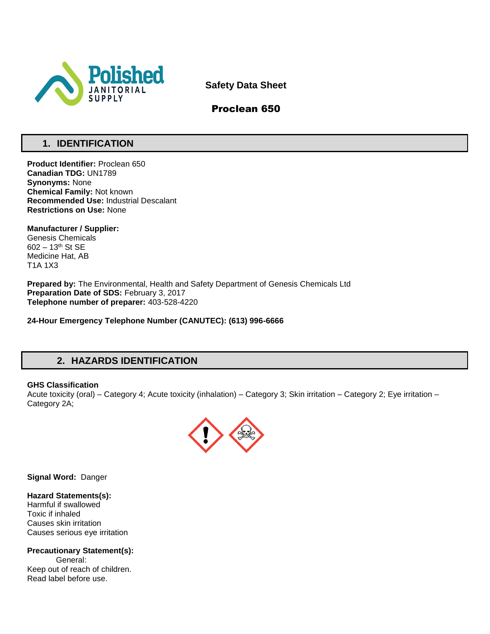

**Safety Data Sheet**

# Proclean 650

# **1. IDENTIFICATION**

**Product Identifier:** Proclean 650 **Canadian TDG:** UN1789 **Synonyms:** None **Chemical Family:** Not known **Recommended Use:** Industrial Descalant **Restrictions on Use:** None

**Manufacturer / Supplier:** Genesis Chemicals 602 – 13th St SE Medicine Hat, AB T1A 1X3

**Prepared by:** The Environmental, Health and Safety Department of Genesis Chemicals Ltd **Preparation Date of SDS:** February 3, 2017 **Telephone number of preparer:** 403-528-4220

**24-Hour Emergency Telephone Number (CANUTEC): (613) 996-6666**

# **2. HAZARDS IDENTIFICATION**

## **GHS Classification**

Acute toxicity (oral) – Category 4; Acute toxicity (inhalation) – Category 3; Skin irritation – Category 2; Eye irritation – Category 2A;



**Signal Word:** Danger

## **Hazard Statements(s):**

Harmful if swallowed Toxic if inhaled Causes skin irritation Causes serious eye irritation

**Precautionary Statement(s):** General: Keep out of reach of children. Read label before use.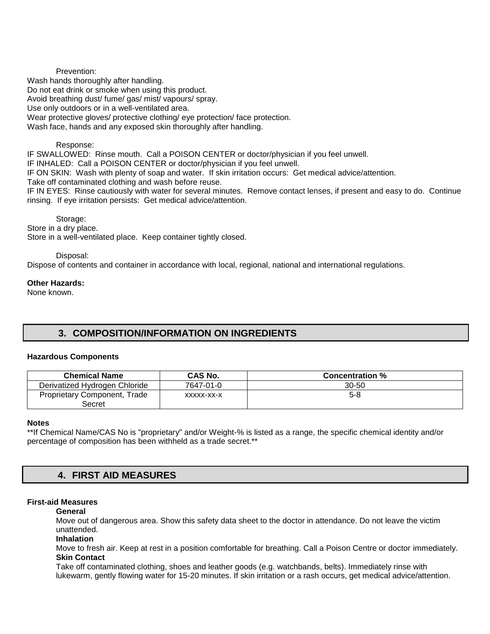Prevention: Wash hands thoroughly after handling. Do not eat drink or smoke when using this product. Avoid breathing dust/ fume/ gas/ mist/ vapours/ spray. Use only outdoors or in a well-ventilated area. Wear protective gloves/ protective clothing/ eye protection/ face protection. Wash face, hands and any exposed skin thoroughly after handling.

## Response:

IF SWALLOWED: Rinse mouth. Call a POISON CENTER or doctor/physician if you feel unwell. IF INHALED: Call a POISON CENTER or doctor/physician if you feel unwell. IF ON SKIN: Wash with plenty of soap and water. If skin irritation occurs: Get medical advice/attention. Take off contaminated clothing and wash before reuse. IF IN EYES: Rinse cautiously with water for several minutes. Remove contact lenses, if present and easy to do. Continue rinsing. If eye irritation persists: Get medical advice/attention.

Storage: Store in a dry place. Store in a well-ventilated place. Keep container tightly closed.

## Disposal:

Dispose of contents and container in accordance with local, regional, national and international regulations.

# **Other Hazards:**

None known.

# **3. COMPOSITION/INFORMATION ON INGREDIENTS**

## **Hazardous Components**

| <b>Chemical Name</b>          | <b>CAS No.</b> | <b>Concentration %</b> |
|-------------------------------|----------------|------------------------|
| Derivatized Hydrogen Chloride | 7647-01-0      | $30 - 50$              |
| Proprietary Component, Trade  | XXXXX-XX-X     | $5-8$                  |
| Secret                        |                |                        |

## **Notes**

\*\*If Chemical Name/CAS No is "proprietary" and/or Weight-% is listed as a range, the specific chemical identity and/or percentage of composition has been withheld as a trade secret.\*\*

# **4. FIRST AID MEASURES**

## **First-aid Measures**

## **General**

Move out of dangerous area. Show this safety data sheet to the doctor in attendance. Do not leave the victim unattended.

## **Inhalation**

Move to fresh air. Keep at rest in a position comfortable for breathing. Call a Poison Centre or doctor immediately. **Skin Contact** 

Take off contaminated clothing, shoes and leather goods (e.g. watchbands, belts). Immediately rinse with lukewarm, gently flowing water for 15-20 minutes. If skin irritation or a rash occurs, get medical advice/attention.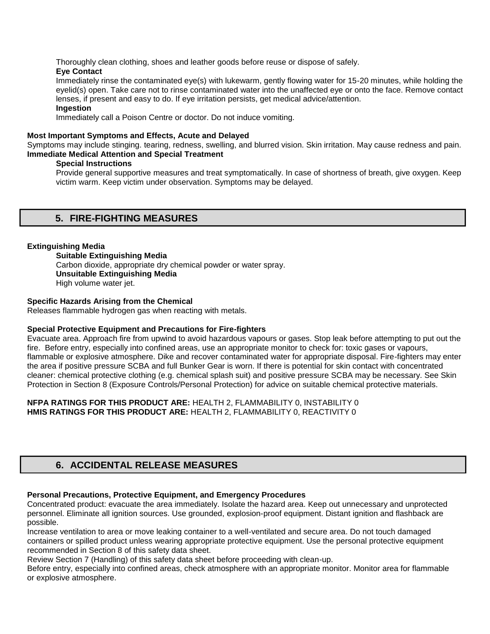Thoroughly clean clothing, shoes and leather goods before reuse or dispose of safely.

# **Eye Contact**

Immediately rinse the contaminated eye(s) with lukewarm, gently flowing water for 15-20 minutes, while holding the eyelid(s) open. Take care not to rinse contaminated water into the unaffected eye or onto the face. Remove contact lenses, if present and easy to do. If eye irritation persists, get medical advice/attention.

# **Ingestion**

Immediately call a Poison Centre or doctor. Do not induce vomiting.

# **Most Important Symptoms and Effects, Acute and Delayed**

Symptoms may include stinging. tearing, redness, swelling, and blurred vision. Skin irritation. May cause redness and pain. **Immediate Medical Attention and Special Treatment** 

# **Special Instructions**

Provide general supportive measures and treat symptomatically. In case of shortness of breath, give oxygen. Keep victim warm. Keep victim under observation. Symptoms may be delayed.

# **5. FIRE-FIGHTING MEASURES**

# **Extinguishing Media**

**Suitable Extinguishing Media** Carbon dioxide, appropriate dry chemical powder or water spray. **Unsuitable Extinguishing Media**  High volume water jet.

# **Specific Hazards Arising from the Chemical**

Releases flammable hydrogen gas when reacting with metals.

# **Special Protective Equipment and Precautions for Fire-fighters**

Evacuate area. Approach fire from upwind to avoid hazardous vapours or gases. Stop leak before attempting to put out the fire. Before entry, especially into confined areas, use an appropriate monitor to check for: toxic gases or vapours, flammable or explosive atmosphere. Dike and recover contaminated water for appropriate disposal. Fire-fighters may enter the area if positive pressure SCBA and full Bunker Gear is worn. If there is potential for skin contact with concentrated cleaner: chemical protective clothing (e.g. chemical splash suit) and positive pressure SCBA may be necessary. See Skin Protection in Section 8 (Exposure Controls/Personal Protection) for advice on suitable chemical protective materials.

**NFPA RATINGS FOR THIS PRODUCT ARE:** HEALTH 2, FLAMMABILITY 0, INSTABILITY 0 **HMIS RATINGS FOR THIS PRODUCT ARE:** HEALTH 2, FLAMMABILITY 0, REACTIVITY 0

# **6. ACCIDENTAL RELEASE MEASURES**

# **Personal Precautions, Protective Equipment, and Emergency Procedures**

Concentrated product: evacuate the area immediately. Isolate the hazard area. Keep out unnecessary and unprotected personnel. Eliminate all ignition sources. Use grounded, explosion-proof equipment. Distant ignition and flashback are possible.

Increase ventilation to area or move leaking container to a well-ventilated and secure area. Do not touch damaged containers or spilled product unless wearing appropriate protective equipment. Use the personal protective equipment recommended in Section 8 of this safety data sheet.

Review Section 7 (Handling) of this safety data sheet before proceeding with clean-up.

Before entry, especially into confined areas, check atmosphere with an appropriate monitor. Monitor area for flammable or explosive atmosphere.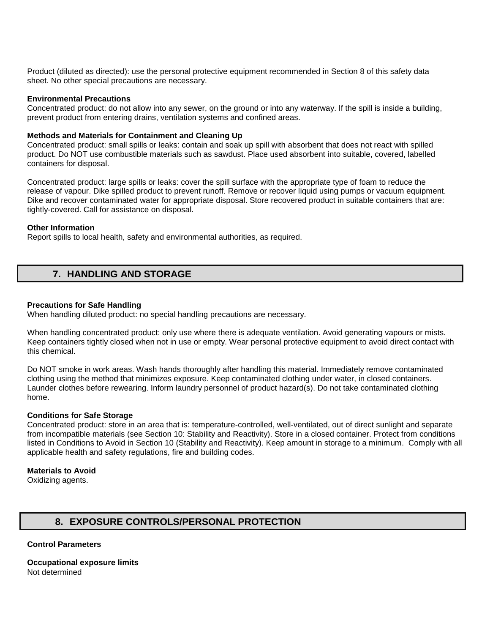Product (diluted as directed): use the personal protective equipment recommended in Section 8 of this safety data sheet. No other special precautions are necessary.

### **Environmental Precautions**

Concentrated product: do not allow into any sewer, on the ground or into any waterway. If the spill is inside a building, prevent product from entering drains, ventilation systems and confined areas.

### **Methods and Materials for Containment and Cleaning Up**

Concentrated product: small spills or leaks: contain and soak up spill with absorbent that does not react with spilled product. Do NOT use combustible materials such as sawdust. Place used absorbent into suitable, covered, labelled containers for disposal.

Concentrated product: large spills or leaks: cover the spill surface with the appropriate type of foam to reduce the release of vapour. Dike spilled product to prevent runoff. Remove or recover liquid using pumps or vacuum equipment. Dike and recover contaminated water for appropriate disposal. Store recovered product in suitable containers that are: tightly-covered. Call for assistance on disposal.

### **Other Information**

Report spills to local health, safety and environmental authorities, as required.

# **7. HANDLING AND STORAGE**

### **Precautions for Safe Handling**

When handling diluted product: no special handling precautions are necessary.

When handling concentrated product: only use where there is adequate ventilation. Avoid generating vapours or mists. Keep containers tightly closed when not in use or empty. Wear personal protective equipment to avoid direct contact with this chemical.

Do NOT smoke in work areas. Wash hands thoroughly after handling this material. Immediately remove contaminated clothing using the method that minimizes exposure. Keep contaminated clothing under water, in closed containers. Launder clothes before rewearing. Inform laundry personnel of product hazard(s). Do not take contaminated clothing home.

## **Conditions for Safe Storage**

Concentrated product: store in an area that is: temperature-controlled, well-ventilated, out of direct sunlight and separate from incompatible materials (see Section 10: Stability and Reactivity). Store in a closed container. Protect from conditions listed in Conditions to Avoid in Section 10 (Stability and Reactivity). Keep amount in storage to a minimum. Comply with all applicable health and safety regulations, fire and building codes.

## **Materials to Avoid**

Oxidizing agents.

# **8. EXPOSURE CONTROLS/PERSONAL PROTECTION**

## **Control Parameters**

**Occupational exposure limits** Not determined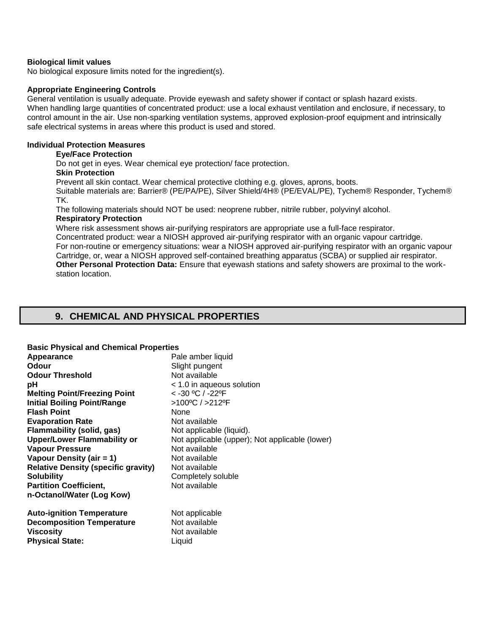## **Biological limit values**

No biological exposure limits noted for the ingredient(s).

### **Appropriate Engineering Controls**

General ventilation is usually adequate. Provide eyewash and safety shower if contact or splash hazard exists. When handling large quantities of concentrated product: use a local exhaust ventilation and enclosure, if necessary, to control amount in the air. Use non-sparking ventilation systems, approved explosion-proof equipment and intrinsically safe electrical systems in areas where this product is used and stored.

# **Individual Protection Measures**

#### **Eye/Face Protection**

Do not get in eyes. Wear chemical eye protection/ face protection.

# **Skin Protection**

Prevent all skin contact. Wear chemical protective clothing e.g. gloves, aprons, boots.

Suitable materials are: Barrier® (PE/PA/PE), Silver Shield/4H® (PE/EVAL/PE), Tychem® Responder, Tychem® TK.

The following materials should NOT be used: neoprene rubber, nitrile rubber, polyvinyl alcohol. **Respiratory Protection** 

Where risk assessment shows air-purifying respirators are appropriate use a full-face respirator.

Concentrated product: wear a NIOSH approved air-purifying respirator with an organic vapour cartridge. For non-routine or emergency situations: wear a NIOSH approved air-purifying respirator with an organic vapour Cartridge, or, wear a NIOSH approved self-contained breathing apparatus (SCBA) or supplied air respirator. **Other Personal Protection Data:** Ensure that eyewash stations and safety showers are proximal to the workstation location.

# **9. CHEMICAL AND PHYSICAL PROPERTIES**

## **Basic Physical and Chemical Properties**

| Appearance<br><b>Odour</b><br><b>Odour Threshold</b><br>рH<br><b>Melting Point/Freezing Point</b><br><b>Initial Boiling Point/Range</b><br><b>Flash Point</b><br><b>Evaporation Rate</b><br><b>Flammability (solid, gas)</b><br><b>Upper/Lower Flammability or</b><br><b>Vapour Pressure</b><br>Vapour Density (air = 1)<br><b>Relative Density (specific gravity)</b><br><b>Solubility</b><br><b>Partition Coefficient,</b><br>n-Octanol/Water (Log Kow) | Pale amber liquid<br>Slight pungent<br>Not available<br>< 1.0 in aqueous solution<br>< -30 °C / -22°F<br>>100°C / >212°F<br>None<br>Not available<br>Not applicable (liquid).<br>Not applicable (upper); Not applicable (lower)<br>Not available<br>Not available<br>Not available<br>Completely soluble<br>Not available |
|-----------------------------------------------------------------------------------------------------------------------------------------------------------------------------------------------------------------------------------------------------------------------------------------------------------------------------------------------------------------------------------------------------------------------------------------------------------|---------------------------------------------------------------------------------------------------------------------------------------------------------------------------------------------------------------------------------------------------------------------------------------------------------------------------|
| <b>Auto-ignition Temperature</b>                                                                                                                                                                                                                                                                                                                                                                                                                          | Not applicable                                                                                                                                                                                                                                                                                                            |
| <b>Decomposition Temperature</b>                                                                                                                                                                                                                                                                                                                                                                                                                          | Not available                                                                                                                                                                                                                                                                                                             |
| <b>Viscosity</b>                                                                                                                                                                                                                                                                                                                                                                                                                                          | Not available                                                                                                                                                                                                                                                                                                             |
| <b>Physical State:</b>                                                                                                                                                                                                                                                                                                                                                                                                                                    | Liquid                                                                                                                                                                                                                                                                                                                    |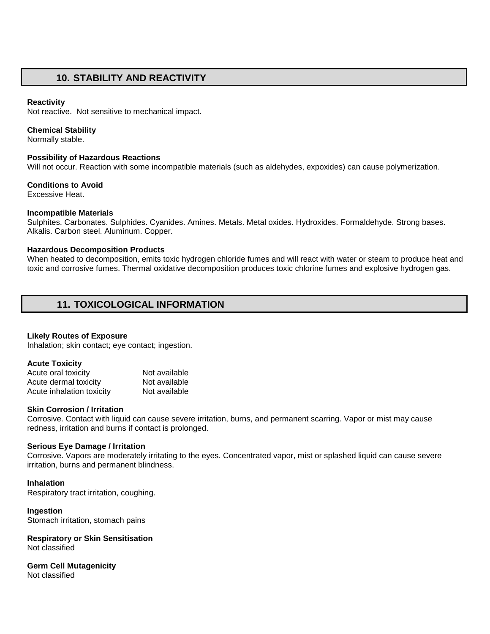# **10. STABILITY AND REACTIVITY**

### **Reactivity**

Not reactive. Not sensitive to mechanical impact.

### **Chemical Stability**

Normally stable.

### **Possibility of Hazardous Reactions**

Will not occur. Reaction with some incompatible materials (such as aldehydes, expoxides) can cause polymerization.

### **Conditions to Avoid**

Excessive Heat.

### **Incompatible Materials**

Sulphites. Carbonates. Sulphides. Cyanides. Amines. Metals. Metal oxides. Hydroxides. Formaldehyde. Strong bases. Alkalis. Carbon steel. Aluminum. Copper.

### **Hazardous Decomposition Products**

When heated to decomposition, emits toxic hydrogen chloride fumes and will react with water or steam to produce heat and toxic and corrosive fumes. Thermal oxidative decomposition produces toxic chlorine fumes and explosive hydrogen gas.

# **11. TOXICOLOGICAL INFORMATION**

#### **Likely Routes of Exposure**

Inhalation; skin contact; eye contact; ingestion.

#### **Acute Toxicity**

| Acute oral toxicity       | Not available |
|---------------------------|---------------|
| Acute dermal toxicity     | Not available |
| Acute inhalation toxicity | Not available |

## **Skin Corrosion / Irritation**

Corrosive. Contact with liquid can cause severe irritation, burns, and permanent scarring. Vapor or mist may cause redness, irritation and burns if contact is prolonged.

#### **Serious Eye Damage / Irritation**

Corrosive. Vapors are moderately irritating to the eyes. Concentrated vapor, mist or splashed liquid can cause severe irritation, burns and permanent blindness.

#### **Inhalation**

Respiratory tract irritation, coughing.

#### **Ingestion**

Stomach irritation, stomach pains

#### **Respiratory or Skin Sensitisation** Not classified

**Germ Cell Mutagenicity** Not classified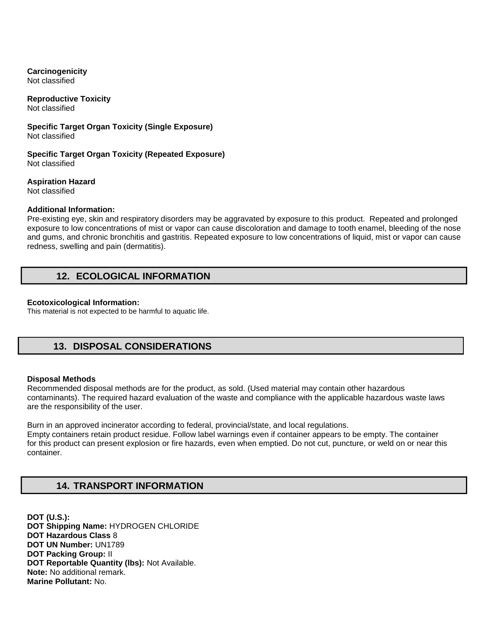# **Carcinogenicity**

Not classified

# **Reproductive Toxicity**

Not classified

## **Specific Target Organ Toxicity (Single Exposure)** Not classified

**Specific Target Organ Toxicity (Repeated Exposure)** Not classified

**Aspiration Hazard**

Not classified

# **Additional Information:**

Pre-existing eye, skin and respiratory disorders may be aggravated by exposure to this product. Repeated and prolonged exposure to low concentrations of mist or vapor can cause discoloration and damage to tooth enamel, bleeding of the nose and gums, and chronic bronchitis and gastritis. Repeated exposure to low concentrations of liquid, mist or vapor can cause redness, swelling and pain (dermatitis).

# **12. ECOLOGICAL INFORMATION**

# **Ecotoxicological Information:**

This material is not expected to be harmful to aquatic life.

# **13. DISPOSAL CONSIDERATIONS**

# **Disposal Methods**

Recommended disposal methods are for the product, as sold. (Used material may contain other hazardous contaminants). The required hazard evaluation of the waste and compliance with the applicable hazardous waste laws are the responsibility of the user.

Burn in an approved incinerator according to federal, provincial/state, and local regulations. Empty containers retain product residue. Follow label warnings even if container appears to be empty. The container for this product can present explosion or fire hazards, even when emptied. Do not cut, puncture, or weld on or near this container.

# **14. TRANSPORT INFORMATION**

**DOT (U.S.): DOT Shipping Name:** HYDROGEN CHLORIDE **DOT Hazardous Class** 8 **DOT UN Number:** UN1789 **DOT Packing Group:** II **DOT Reportable Quantity (lbs):** Not Available. **Note:** No additional remark. **Marine Pollutant:** No.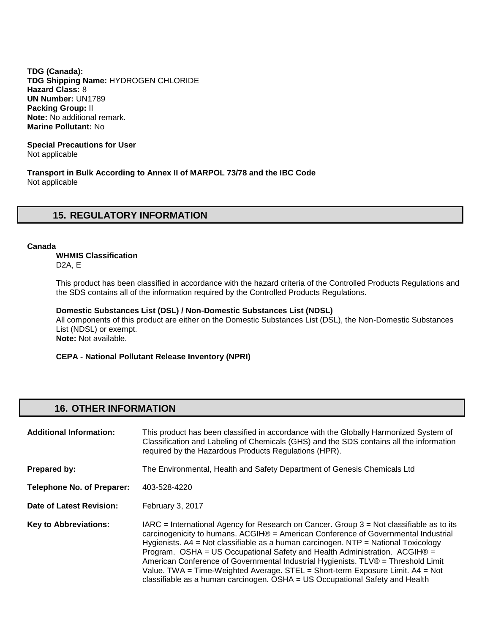**TDG (Canada): TDG Shipping Name:** HYDROGEN CHLORIDE **Hazard Class:** 8 **UN Number:** UN1789 **Packing Group:** II **Note:** No additional remark. **Marine Pollutant:** No

**Special Precautions for User** Not applicable

**Transport in Bulk According to Annex II of MARPOL 73/78 and the IBC Code**  Not applicable

# **15. REGULATORY INFORMATION**

### **Canada**

**WHMIS Classification** 

D2A, E

This product has been classified in accordance with the hazard criteria of the Controlled Products Regulations and the SDS contains all of the information required by the Controlled Products Regulations.

**Domestic Substances List (DSL) / Non-Domestic Substances List (NDSL)** 

All components of this product are either on the Domestic Substances List (DSL), the Non-Domestic Substances List (NDSL) or exempt.

**Note:** Not available.

**CEPA - National Pollutant Release Inventory (NPRI)** 

# **16. OTHER INFORMATION**

| <b>Additional Information:</b>    | This product has been classified in accordance with the Globally Harmonized System of<br>Classification and Labeling of Chemicals (GHS) and the SDS contains all the information<br>required by the Hazardous Products Regulations (HPR).                                                                                                                                                                                                                                                                                                                                                                        |
|-----------------------------------|------------------------------------------------------------------------------------------------------------------------------------------------------------------------------------------------------------------------------------------------------------------------------------------------------------------------------------------------------------------------------------------------------------------------------------------------------------------------------------------------------------------------------------------------------------------------------------------------------------------|
| Prepared by:                      | The Environmental, Health and Safety Department of Genesis Chemicals Ltd                                                                                                                                                                                                                                                                                                                                                                                                                                                                                                                                         |
| <b>Telephone No. of Preparer:</b> | 403-528-4220                                                                                                                                                                                                                                                                                                                                                                                                                                                                                                                                                                                                     |
| Date of Latest Revision:          | February 3, 2017                                                                                                                                                                                                                                                                                                                                                                                                                                                                                                                                                                                                 |
| <b>Key to Abbreviations:</b>      | $IARC = International Agency for Research on Cancer. Group 3 = Not classified be as to its$<br>carcinogenicity to humans. ACGIH® = American Conference of Governmental Industrial<br>Hygienists. $AA = Not$ classifiable as a human carcinogen. NTP = National Toxicology<br>Program. OSHA = US Occupational Safety and Health Administration. ACGIH® =<br>American Conference of Governmental Industrial Hygienists. TLV® = Threshold Limit<br>Value. TWA = Time-Weighted Average. STEL = Short-term Exposure Limit. $AA = Not$<br>classifiable as a human carcinogen. OSHA = US Occupational Safety and Health |